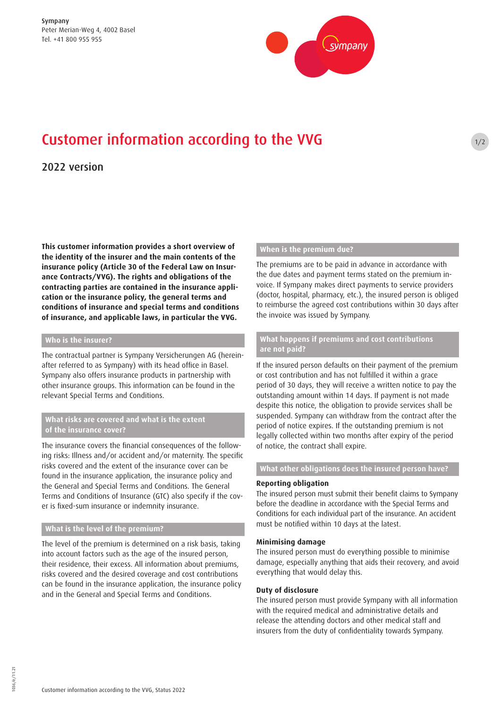

# Customer information according to the VVG

# 2022 version

**This customer information provides a short overview of the identity of the insurer and the main contents of the insurance policy (Article 30 of the Federal Law on Insurance Contracts/VVG). The rights and obligations of the contracting parties are contained in the insurance application or the insurance policy, the general terms and conditions of insurance and special terms and conditions of insurance, and applicable laws, in particular the VVG.** 

# **Who is the insurer?**

The contractual partner is Sympany Versicherungen AG (hereinafter referred to as Sympany) with its head office in Basel. Sympany also offers insurance products in partnership with other insurance groups. This information can be found in the relevant Special Terms and Conditions.

# **What risks are covered and what is the extent of the insurance cover?**

The insurance covers the financial consequences of the following risks: Illness and/or accident and/or maternity. The specific risks covered and the extent of the insurance cover can be found in the insurance application, the insurance policy and the General and Special Terms and Conditions. The General Terms and Conditions of Insurance (GTC) also specify if the cover is fixed-sum insurance or indemnity insurance.

# **What is the level of the premium?**

The level of the premium is determined on a risk basis, taking into account factors such as the age of the insured person, their residence, their excess. All information about premiums, risks covered and the desired coverage and cost contributions can be found in the insurance application, the insurance policy and in the General and Special Terms and Conditions.

# **When is the premium due?**

The premiums are to be paid in advance in accordance with the due dates and payment terms stated on the premium invoice. If Sympany makes direct payments to service providers (doctor, hospital, pharmacy, etc.), the insured person is obliged to reimburse the agreed cost contributions within 30 days after the invoice was issued by Sympany.

 $1/2$ 

# **What happens if premiums and cost contributions are not paid?**

If the insured person defaults on their payment of the premium or cost contribution and has not fulfilled it within a grace period of 30 days, they will receive a written notice to pay the outstanding amount within 14 days. If payment is not made despite this notice, the obligation to provide services shall be suspended. Sympany can withdraw from the contract after the period of notice expires. If the outstanding premium is not legally collected within two months after expiry of the period of notice, the contract shall expire.

# **What other obligations does the insured person have?**

#### **Reporting obligation**

The insured person must submit their benefit claims to Sympany before the deadline in accordance with the Special Terms and Conditions for each individual part of the insurance. An accident must be notified within 10 days at the latest.

#### **Minimising damage**

The insured person must do everything possible to minimise damage, especially anything that aids their recovery, and avoid everything that would delay this.

# **Duty of disclosure**

The insured person must provide Sympany with all information with the required medical and administrative details and release the attending doctors and other medical staff and insurers from the duty of confidentiality towards Sympany.